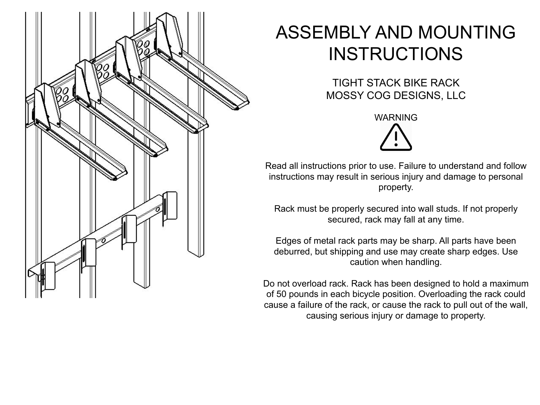

## ASSEMBLY AND MOUNTING **INSTRUCTIONS**

TIGHT STACK BIKE RACK MOSSY COG DESIGNS, LLC

WARNING

Read all instructions prior to use. Failure to understand and follow instructions may result in serious injury and damage to personal property.

Rack must be properly secured into wall studs. If not properly secured, rack may fall at any time.

Edges of metal rack parts may be sharp. All parts have been deburred, but shipping and use may create sharp edges. Use caution when handling.

Do not overload rack. Rack has been designed to hold a maximum of 50 pounds in each bicycle position. Overloading the rack could cause a failure of the rack, or cause the rack to pull out of the wall, causing serious injury or damage to property.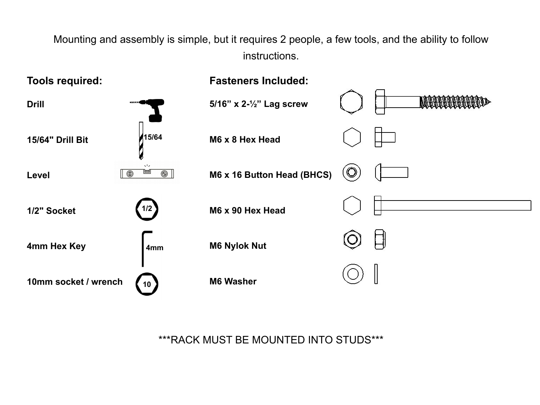Mounting and assembly is simple, but it requires 2 people, a few tools, and the ability to follow instructions.



\*\*\*RACK MUST BE MOUNTED INTO STUDS\*\*\*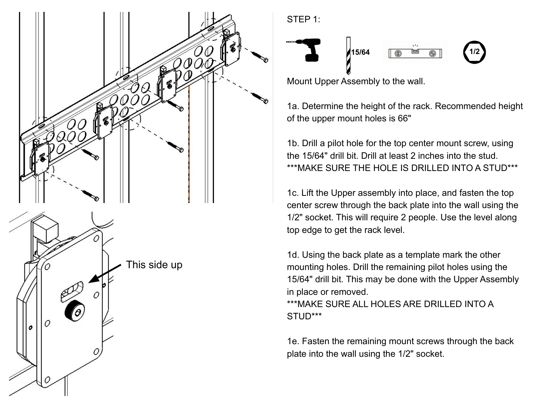

## STEP 1:



Mount Upper Assembly to the wall.

1a. Determine the height of the rack. Recommended height of the upper mount holes is 66"

1b. Drill a pilot hole for the top center mount screw, using the 15/64" drill bit. Drill at least 2 inches into the stud. \*\*\*MAKE SURE THE HOLE IS DRILLED INTO A STUD\*\*\*

1c. Lift the Upper assembly into place, and fasten the top center screw through the back plate into the wall using the 1/2" socket. This will require 2 people. Use the level along top edge to get the rack level.

1d. Using the back plate as a template mark the other mounting holes. Drill the remaining pilot holes using the 15/64" drill bit. This may be done with the Upper Assembly in place or removed.

\*\*\*MAKE SURE ALL HOLES ARE DRILLED INTO A STUD\*\*\*

 1e. Fasten the remaining mount screws through the back plate into the wall using the 1/2" socket.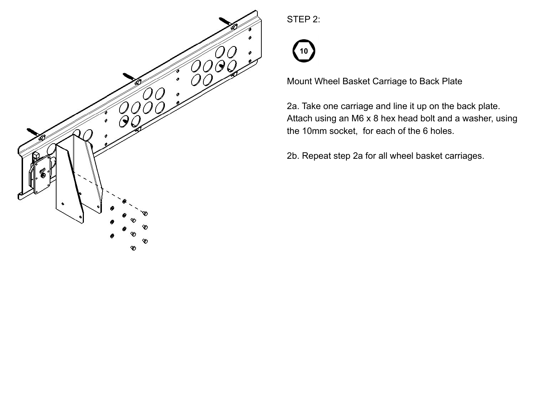

STEP 2:



Mount Wheel Basket Carriage to Back Plate

2a. Take one carriage and line it up on the back plate. Attach using an M6 x 8 hex head bolt and a washer, using the 10mm socket, for each of the 6 holes.

2b. Repeat step 2a for all wheel basket carriages.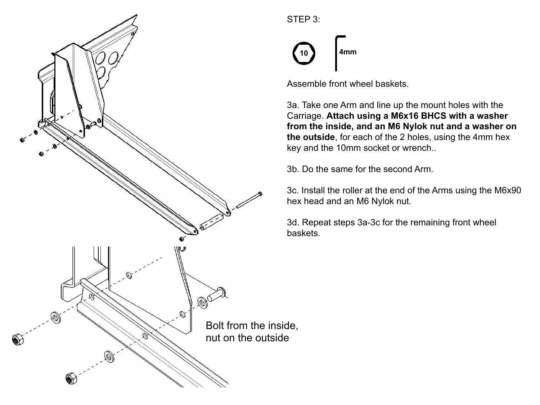

## STEP 3:



Assemble front wheel baskets.

3a. Take one Arm and line up the mount holes with the Carriage. **Attach using a M6x16 BHCS with a washer from the inside, and an M6 Nylok nut and a washer on the outside**, for each of the 2 holes, using the 4mm hex key and the 10mm socket or wrench..

3b. Do the same for the second Arm.

3c. Install the roller at the end of the Arms using the M6x90 hex head and an M6 Nylok nut.

3d. Repeat steps 3a-3c for the remaining front wheel baskets.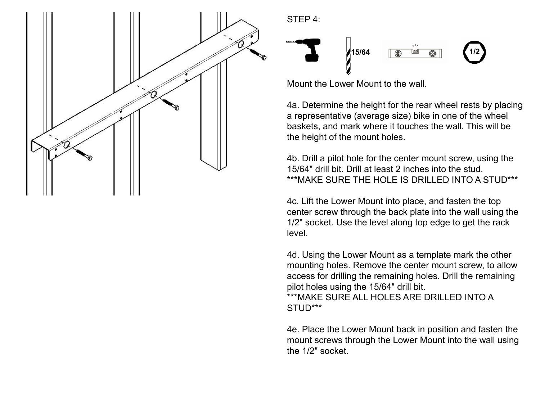

STEP 4:



Mount the Lower Mount to the wall.

4a. Determine the height for the rear wheel rests by placing a representative (average size) bike in one of the wheel baskets, and mark where it touches the wall. This will be the height of the mount holes.

4b. Drill a pilot hole for the center mount screw, using the 15/64" drill bit. Drill at least 2 inches into the stud. \*\*\*MAKE SURE THE HOLE IS DRILLED INTO A STUD\*\*\*

4c. Lift the Lower Mount into place, and fasten the top center screw through the back plate into the wall using the 1/2" socket. Use the level along top edge to get the rack level.

4d. Using the Lower Mount as a template mark the other mounting holes. Remove the center mount screw, to allow access for drilling the remaining holes. Drill the remaining pilot holes using the 15/64" drill bit.

\*\*\*MAKE SURE ALL HOLES ARE DRILLED INTO A STUD\*\*\*

4e. Place the Lower Mount back in position and fasten the mount screws through the Lower Mount into the wall using the 1/2" socket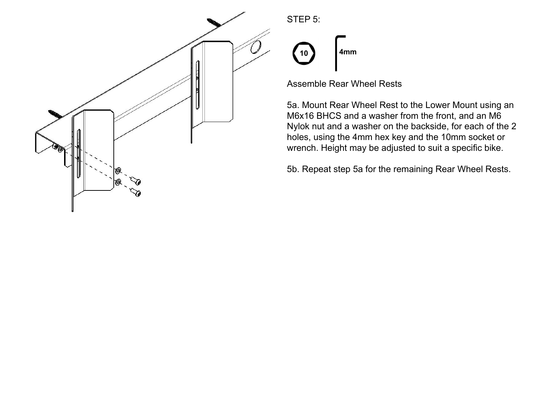

STEP 5:



Assemble Rear Wheel Rests

5a. Mount Rear Wheel Rest to the Lower Mount using an M6x16 BHCS and a washer from the front, and an M6 Nylok nut and a washer on the backside, for each of the 2 holes, using the 4mm hex key and the 10mm socket or wrench. Height may be adjusted to suit a specific bike.

5b. Repeat step 5a for the remaining Rear Wheel Rests.